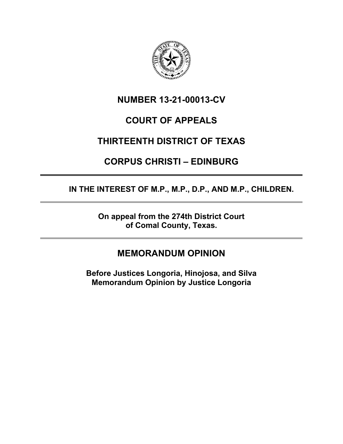

## **NUMBER 13-21-00013-CV**

# **COURT OF APPEALS**

# **THIRTEENTH DISTRICT OF TEXAS**

# **CORPUS CHRISTI – EDINBURG**

**IN THE INTEREST OF M.P., M.P., D.P., AND M.P., CHILDREN.**

**On appeal from the 274th District Court of Comal County, Texas.**

## **MEMORANDUM OPINION**

**Before Justices Longoria, Hinojosa, and Silva Memorandum Opinion by Justice Longoria**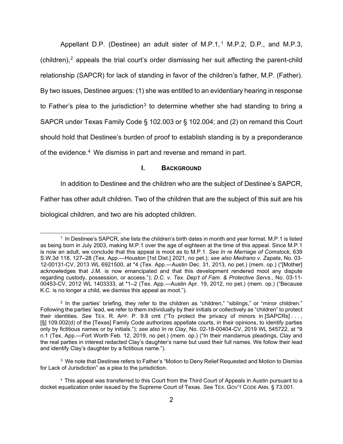Appellant D.P. (Destinee) an adult sister of M.P.[1](#page-1-0),<sup>1</sup> M.P.2, D.P., and M.P.3, (children),<sup>[2](#page-1-1)</sup> appeals the trial court's order dismissing her suit affecting the parent-child relationship (SAPCR) for lack of standing in favor of the children's father, M.P. (Father). By two issues, Destinee argues: (1) she was entitled to an evidentiary hearing in response to Father's plea to the jurisdiction<sup>[3](#page-1-2)</sup> to determine whether she had standing to bring a SAPCR under Texas Family Code § 102.003 or § 102.004; and (2) on remand this Court should hold that Destinee's burden of proof to establish standing is by a preponderance of the evidence. [4](#page-1-3) We dismiss in part and reverse and remand in part.

### **I. BACKGROUND**

In addition to Destinee and the children who are the subject of Destinee's SAPCR,

Father has other adult children. Two of the children that are the subject of this suit are his

biological children, and two are his adopted children.

<span id="page-1-2"></span><sup>3</sup> We note that Destinee refers to Father's "Motion to Deny Relief Requested and Motion to Dismiss for Lack of Jurisdiction" as a plea to the jurisdiction.

<span id="page-1-0"></span><sup>1</sup> In Destinee's SAPCR, she lists the children's birth dates in month and year format. M.P.1 is listed as being born in July 2003, making M.P.1 over the age of eighteen at the time of this appeal. Since M.P.1 is now an adult, we conclude that this appeal is moot as to M.P.1. *See In re Marriage of Comstock*, 639 S.W.3d 118, 127–28 (Tex. App.—Houston [1st Dist.] 2021, no pet.); *see also Medrano v. Zapata*, No. 03- 12-00131-CV, 2013 WL 6921500, at \*4 (Tex. App.—Austin Dec. 31, 2013, no pet.) (mem. op.) ("[Mother] acknowledges that J.M. is now emancipated and that this development rendered moot any dispute regarding custody, possession, or access."); *D.C. v. Tex. Dep't of Fam. & Protective Servs.*, No. 03-11- 00453-CV, 2012 WL 1403333, at \*1–2 (Tex. App.—Austin Apr. 19, 2012, no pet.) (mem. op.) ("Because K.C. is no longer a child, we dismiss this appeal as moot.").

<span id="page-1-1"></span><sup>2</sup> In the parties' briefing, they refer to the children as "children," "siblings," or "minor children." Following the parties' lead, we refer to them individually by their initials or collectively as "children" to protect their identities. *See* TEX. R. APP. P. 9.8 cmt ("To protect the privacy of minors in [SAPCRs] . . . , [§] 109.002(d) of the [Texas] Family Code authorizes appellate courts, in their opinions, to identify parties only by fictitious names or by initials."); *see also In re Clay*, No. 02-18-00404-CV, 2019 WL 545722, at \*9 n.1 (Tex. App.—Fort Worth Feb. 12, 2019, no pet.) (mem. op.) ("In their mandamus pleadings, Clay and the real parties in interest redacted Clay's daughter's name but used their full names. We follow their lead and identify Clay's daughter by a fictitious name.").

<span id="page-1-3"></span><sup>&</sup>lt;sup>4</sup> This appeal was transferred to this Court from the Third Court of Appeals in Austin pursuant to a docket equalization order issued by the Supreme Court of Texas. *See* TEX. GOV'T CODE ANN. § 73.001.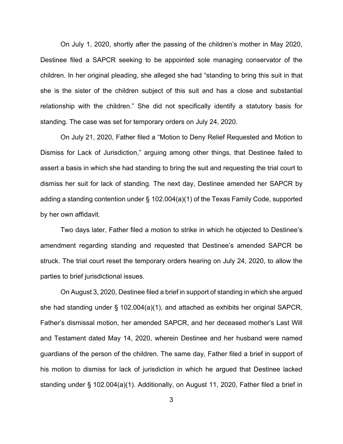On July 1, 2020, shortly after the passing of the children's mother in May 2020, Destinee filed a SAPCR seeking to be appointed sole managing conservator of the children. In her original pleading, she alleged she had "standing to bring this suit in that she is the sister of the children subject of this suit and has a close and substantial relationship with the children." She did not specifically identify a statutory basis for standing. The case was set for temporary orders on July 24, 2020.

On July 21, 2020, Father filed a "Motion to Deny Relief Requested and Motion to Dismiss for Lack of Jurisdiction," arguing among other things, that Destinee failed to assert a basis in which she had standing to bring the suit and requesting the trial court to dismiss her suit for lack of standing. The next day, Destinee amended her SAPCR by adding a standing contention under § 102.004(a)(1) of the Texas Family Code, supported by her own affidavit.

Two days later, Father filed a motion to strike in which he objected to Destinee's amendment regarding standing and requested that Destinee's amended SAPCR be struck. The trial court reset the temporary orders hearing on July 24, 2020, to allow the parties to brief jurisdictional issues.

On August 3, 2020, Destinee filed a brief in support of standing in which she argued she had standing under § 102.004(a)(1), and attached as exhibits her original SAPCR, Father's dismissal motion, her amended SAPCR, and her deceased mother's Last Will and Testament dated May 14, 2020, wherein Destinee and her husband were named guardians of the person of the children. The same day, Father filed a brief in support of his motion to dismiss for lack of jurisdiction in which he argued that Destinee lacked standing under § 102.004(a)(1). Additionally, on August 11, 2020, Father filed a brief in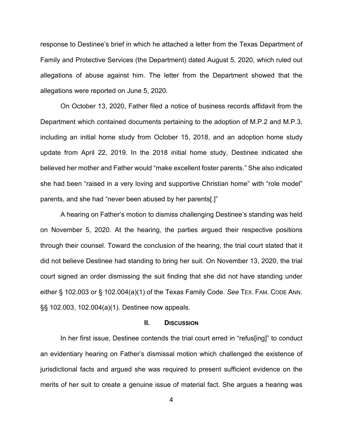response to Destinee's brief in which he attached a letter from the Texas Department of Family and Protective Services (the Department) dated August 5, 2020, which ruled out allegations of abuse against him. The letter from the Department showed that the allegations were reported on June 5, 2020.

On October 13, 2020, Father filed a notice of business records affidavit from the Department which contained documents pertaining to the adoption of M.P.2 and M.P.3, including an initial home study from October 15, 2018, and an adoption home study update from April 22, 2019. In the 2018 initial home study, Destinee indicated she believed her mother and Father would "make excellent foster parents." She also indicated she had been "raised in a very loving and supportive Christian home" with "role model" parents, and she had "never been abused by her parents[.]"

A hearing on Father's motion to dismiss challenging Destinee's standing was held on November 5, 2020. At the hearing, the parties argued their respective positions through their counsel. Toward the conclusion of the hearing, the trial court stated that it did not believe Destinee had standing to bring her suit. On November 13, 2020, the trial court signed an order dismissing the suit finding that she did not have standing under either § 102.003 or § 102.004(a)(1) of the Texas Family Code. *See* TEX. FAM. CODE ANN. §§ 102.003, 102.004(a)(1). Destinee now appeals.

#### **II. DISCUSSION**

In her first issue, Destinee contends the trial court erred in "refus[ing]" to conduct an evidentiary hearing on Father's dismissal motion which challenged the existence of jurisdictional facts and argued she was required to present sufficient evidence on the merits of her suit to create a genuine issue of material fact. She argues a hearing was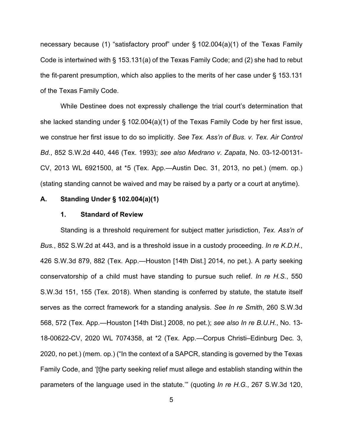necessary because (1) "satisfactory proof" under § 102.004(a)(1) of the Texas Family Code is intertwined with § 153.131(a) of the Texas Family Code; and (2) she had to rebut the fit-parent presumption, which also applies to the merits of her case under § 153.131 of the Texas Family Code.

While Destinee does not expressly challenge the trial court's determination that she lacked standing under § 102.004(a)(1) of the Texas Family Code by her first issue, we construe her first issue to do so implicitly. *See Tex. Ass'n of Bus. v. Tex. Air Control Bd.*, 852 S.W.2d 440, 446 (Tex. 1993); *see also Medrano v. Zapata*, No. 03-12-00131- CV, 2013 WL 6921500, at \*5 (Tex. App.—Austin Dec. 31, 2013, no pet.) (mem. op.) (stating standing cannot be waived and may be raised by a party or a court at anytime).

#### **A. Standing Under § 102.004(a)(1)**

### **1. Standard of Review**

Standing is a threshold requirement for subject matter jurisdiction, *Tex. Ass'n of Bus.*, 852 S.W.2d at 443, and is a threshold issue in a custody proceeding. *In re K.D.H.*, 426 S.W.3d 879, 882 (Tex. App.—Houston [14th Dist.] 2014, no pet.). A party seeking conservatorship of a child must have standing to pursue such relief. *In re H.S.*, 550 S.W.3d 151, 155 (Tex. 2018). When standing is conferred by statute, the statute itself serves as the correct framework for a standing analysis. *See In re Smith*, 260 S.W.3d 568, 572 (Tex. App.—Houston [14th Dist.] 2008, no pet.); *see also In re B.U.H.*, No. 13- 18-00622-CV, 2020 WL 7074358, at \*2 (Tex. App.—Corpus Christi–Edinburg Dec. 3, 2020, no pet.) (mem. op.) ("In the context of a SAPCR, standing is governed by the Texas Family Code, and '[t]he party seeking relief must allege and establish standing within the parameters of the language used in the statute.'" (quoting *In re H.G.*, 267 S.W.3d 120,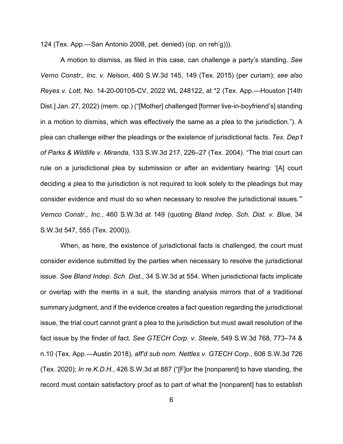124 (Tex. App.—San Antonio 2008, pet. denied) (op. on reh'g))).

A motion to dismiss, as filed in this case, can challenge a party's standing. *See Verno Constr., Inc. v. Nelson*, 460 S.W.3d 145, 149 (Tex. 2015) (per curiam); *see also Reyes v. Lott*, No. 14-20-00105-CV, 2022 WL 248122, at \*2 (Tex. App.—Houston [14th Dist.] Jan. 27, 2022) (mem. op.) ("[Mother] challenged [former live-in-boyfriend's] standing in a motion to dismiss, which was effectively the same as a plea to the jurisdiction."). A plea can challenge either the pleadings or the existence of jurisdictional facts. *Tex. Dep't of Parks & Wildlife v. Miranda*, 133 S.W.3d 217, 226–27 (Tex. 2004). "The trial court can rule on a jurisdictional plea by submission or after an evidentiary hearing: '[A] court deciding a plea to the jurisdiction is not required to look solely to the pleadings but may consider evidence and must do so when necessary to resolve the jurisdictional issues.'" *Vernco Constr., Inc.*, 460 S.W.3d at 149 (quoting *Bland Indep. Sch. Dist. v. Blue*, 34 S.W.3d 547, 555 (Tex. 2000)).

When, as here, the existence of jurisdictional facts is challenged, the court must consider evidence submitted by the parties when necessary to resolve the jurisdictional issue. *See Bland Indep. Sch. Dist.*, 34 S.W.3d at 554. When jurisdictional facts implicate or overlap with the merits in a suit, the standing analysis mirrors that of a traditional summary judgment, and if the evidence creates a fact question regarding the jurisdictional issue, the trial court cannot grant a plea to the jurisdiction but must await resolution of the fact issue by the finder of fact. *See GTECH Corp. v. Steele*, 549 S.W.3d 768, 773–74 & n.10 (Tex. App.—Austin 2018), *aff'd sub nom. Nettles v. GTECH Corp*., 606 S.W.3d 726 (Tex. 2020); *In re K.D.H.*, 426 S.W.3d at 887 ("[F]or the [nonparent] to have standing, the record must contain satisfactory proof as to part of what the [nonparent] has to establish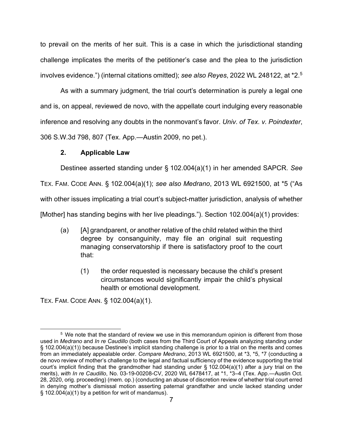to prevail on the merits of her suit. This is a case in which the jurisdictional standing challenge implicates the merits of the petitioner's case and the plea to the jurisdiction involves evidence.") (internal citations omitted); *see also Reyes*, 2022 WL 248122, at \*2.[5](#page-6-0)

As with a summary judgment, the trial court's determination is purely a legal one and is, on appeal, reviewed de novo, with the appellate court indulging every reasonable inference and resolving any doubts in the nonmovant's favor. *Univ. of Tex. v. Poindexter*, 306 S.W.3d 798, 807 (Tex. App.—Austin 2009, no pet.).

### **2. Applicable Law**

Destinee asserted standing under § 102.004(a)(1) in her amended SAPCR. *See*

TEX. FAM. CODE ANN. § 102.004(a)(1); *see also Medrano*, 2013 WL 6921500, at \*5 ("As

with other issues implicating a trial court's subject-matter jurisdiction, analysis of whether

[Mother] has standing begins with her live pleadings."). Section 102.004(a)(1) provides:

- (a) [A] grandparent, or another relative of the child related within the third degree by consanguinity, may file an original suit requesting managing conservatorship if there is satisfactory proof to the court that:
	- (1) the order requested is necessary because the child's present circumstances would significantly impair the child's physical health or emotional development.

TEX. FAM. CODE ANN. § 102.004(a)(1).

<span id="page-6-0"></span><sup>&</sup>lt;sup>5</sup> We note that the standard of review we use in this memorandum opinion is different from those used in *Medrano* and *In re Caudillo* (both cases from the Third Court of Appeals analyzing standing under § 102.004(a)(1)) because Destinee's implicit standing challenge is prior to a trial on the merits and comes from an immediately appealable order. *Compare Medrano*, 2013 WL 6921500, at \*3, \*5, \*7 (conducting a de novo review of mother's challenge to the legal and factual sufficiency of the evidence supporting the trial court's implicit finding that the grandmother had standing under § 102.004(a)(1) after a jury trial on the merits), *with In re Caudillo*, No. 03-19-00208-CV, 2020 WL 6478417, at \*1, \*3–4 (Tex. App.—Austin Oct. 28, 2020, orig. proceeding) (mem. op.) (conducting an abuse of discretion review of whether trial court erred in denying mother's dismissal motion asserting paternal grandfather and uncle lacked standing under § 102.004(a)(1) by a petition for writ of mandamus).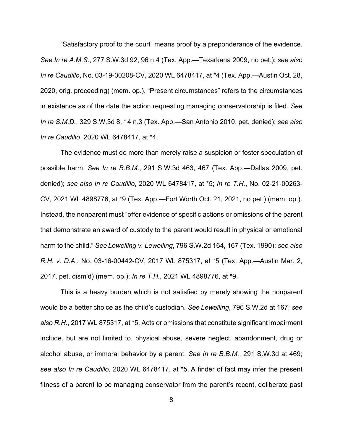"Satisfactory proof to the court" means proof by a preponderance of the evidence. *See In re A.M.S.*, 277 S.W.3d 92, 96 n.4 (Tex. App.—Texarkana 2009, no pet.); *see also In re Caudillo*, No. 03-19-00208-CV, 2020 WL 6478417, at \*4 (Tex. App.—Austin Oct. 28, 2020, orig. proceeding) (mem. op.). "Present circumstances" refers to the circumstances in existence as of the date the action requesting managing conservatorship is filed. *See In re S.M.D.*, 329 S.W.3d 8, 14 n.3 (Tex. App.—San Antonio 2010, pet. denied); *see also In re Caudillo*, 2020 WL 6478417, at \*4.

The evidence must do more than merely raise a suspicion or foster speculation of possible harm. *See In re B.B.M.*, 291 S.W.3d 463, 467 (Tex. App.—Dallas 2009, pet. denied); *see also In re Caudillo*, 2020 WL 6478417, at \*5; *In re T.H.*, No. 02-21-00263- CV, 2021 WL 4898776, at \*9 (Tex. App.—Fort Worth Oct. 21, 2021, no pet.) (mem. op.). Instead, the nonparent must "offer evidence of specific actions or omissions of the parent that demonstrate an award of custody to the parent would result in physical or emotional harm to the child." *See Lewelling v. Lewelling*, 796 S.W.2d 164, 167 (Tex. 1990); *see also R.H. v. D.A*., No. 03-16-00442-CV, 2017 WL 875317, at \*5 (Tex. App.—Austin Mar. 2, 2017, pet. dism'd) (mem. op.); *In re T.H.*, 2021 WL 4898776, at \*9.

This is a heavy burden which is not satisfied by merely showing the nonparent would be a better choice as the child's custodian. *See Lewelling*, 796 S.W.2d at 167; *see also R.H.*, 2017 WL 875317, at \*5. Acts or omissions that constitute significant impairment include, but are not limited to, physical abuse, severe neglect, abandonment, drug or alcohol abuse, or immoral behavior by a parent. *See In re B.B.M.*, 291 S.W.3d at 469; *see also In re Caudillo*, 2020 WL 6478417, at \*5. A finder of fact may infer the present fitness of a parent to be managing conservator from the parent's recent, deliberate past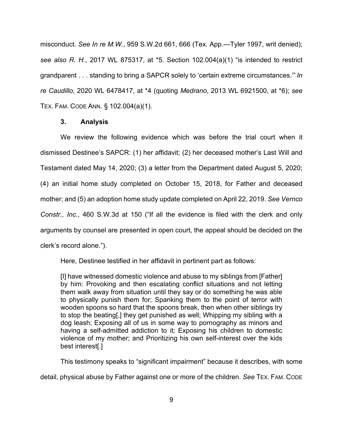misconduct. *See In re M.W.*, 959 S.W.2d 661, 666 (Tex. App.—Tyler 1997, writ denied); *see also R. H.*, 2017 WL 875317, at \*5. Section 102.004(a)(1) "is intended to restrict grandparent . . . standing to bring a SAPCR solely to 'certain extreme circumstances.'" *In re Caudillo*, 2020 WL 6478417, at \*4 (quoting *Medrano*, 2013 WL 6921500, at \*6); *see* TEX. FAM. CODE ANN. § 102.004(a)(1).

### **3. Analysis**

We review the following evidence which was before the trial court when it dismissed Destinee's SAPCR: (1) her affidavit; (2) her deceased mother's Last Will and Testament dated May 14, 2020; (3) a letter from the Department dated August 5, 2020; (4) an initial home study completed on October 15, 2018, for Father and deceased mother; and (5) an adoption home study update completed on April 22, 2019. *See Vernco Constr., Inc.*, 460 S.W.3d at 150 ("If all the evidence is filed with the clerk and only arguments by counsel are presented in open court, the appeal should be decided on the clerk's record alone.").

Here, Destinee testified in her affidavit in pertinent part as follows:

[I] have witnessed domestic violence and abuse to my siblings from [Father] by him: Provoking and then escalating conflict situations and not letting them walk away from situation until they say or do something he was able to physically punish them for; Spanking them to the point of terror with wooden spoons so hard that the spoons break, then when other siblings try to stop the beating[,] they get punished as well; Whipping my sibling with a dog leash; Exposing all of us in some way to pornography as minors and having a self-admitted addiction to it; Exposing his children to domestic violence of my mother; and Prioritizing his own self-interest over the kids best interest[.]

This testimony speaks to "significant impairment" because it describes, with some detail, physical abuse by Father against one or more of the children. *See* TEX. FAM. CODE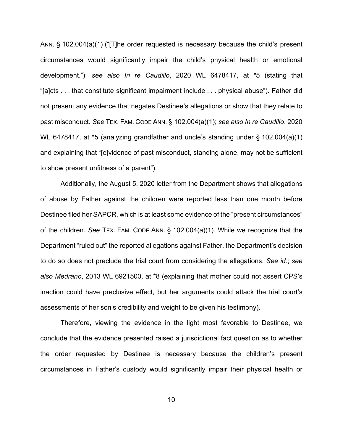ANN. § 102.004(a)(1) ("[T]he order requested is necessary because the child's present circumstances would significantly impair the child's physical health or emotional development."); *see also In re Caudillo*, 2020 WL 6478417, at \*5 (stating that "[a]cts . . . that constitute significant impairment include . . . physical abuse"). Father did not present any evidence that negates Destinee's allegations or show that they relate to past misconduct. *See* TEX. FAM. CODE ANN. § 102.004(a)(1); *see also In re Caudillo*, 2020 WL 6478417, at \*5 (analyzing grandfather and uncle's standing under § 102.004(a)(1) and explaining that "[e]vidence of past misconduct, standing alone, may not be sufficient to show present unfitness of a parent").

Additionally, the August 5, 2020 letter from the Department shows that allegations of abuse by Father against the children were reported less than one month before Destinee filed her SAPCR, which is at least some evidence of the "present circumstances" of the children. *See* TEX. FAM. CODE ANN. § 102.004(a)(1). While we recognize that the Department "ruled out" the reported allegations against Father, the Department's decision to do so does not preclude the trial court from considering the allegations. *See id.*; *see also Medrano*, 2013 WL 6921500, at \*8 (explaining that mother could not assert CPS's inaction could have preclusive effect, but her arguments could attack the trial court's assessments of her son's credibility and weight to be given his testimony).

Therefore, viewing the evidence in the light most favorable to Destinee, we conclude that the evidence presented raised a jurisdictional fact question as to whether the order requested by Destinee is necessary because the children's present circumstances in Father's custody would significantly impair their physical health or

10